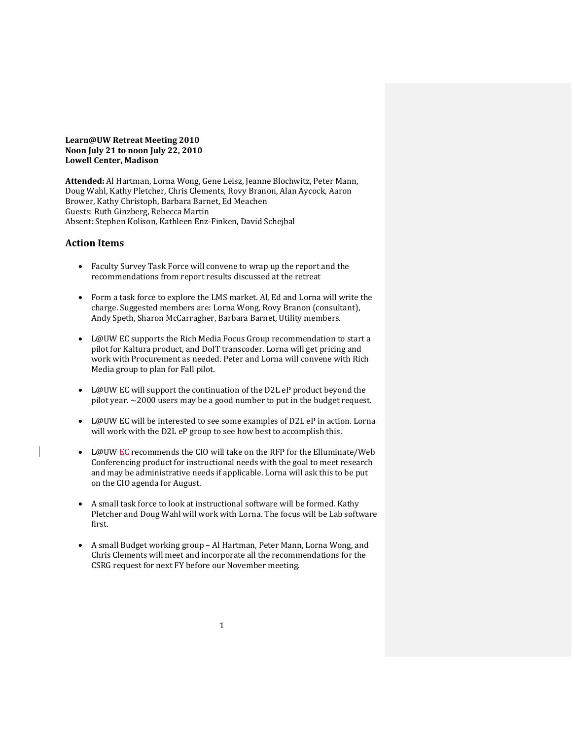**Learn@UW Retreat Meeting 2010 Noon July 21 to noon July 22, 2010 Lowell Center, Madison**

**Attended:** Al Hartman, Lorna Wong, Gene Leisz, Jeanne Blochwitz, Peter Mann, Doug Wahl, Kathy Pletcher, Chris Clements, Rovy Branon, Alan Aycock, Aaron Brower, Kathy Christoph, Barbara Barnet, Ed Meachen Guests: Ruth Ginzberg, Rebecca Martin Absent: Stephen Kolison, Kathleen Enz-Finken, David Schejbal

## **Action Items**

- Faculty Survey Task Force will convene to wrap up the report and the recommendations from report results discussed at the retreat
- Form a task force to explore the LMS market. Al, Ed and Lorna will write the charge. Suggested members are: Lorna Wong, Rovy Branon (consultant), Andy Speth, Sharon McCarragher, Barbara Barnet, Utility members.
- L@UW EC supports the Rich Media Focus Group recommendation to start a pilot for Kaltura product, and DoIT transcoder. Lorna will get pricing and work with Procurement as needed. Peter and Lorna will convene with Rich Media group to plan for Fall pilot.
- L@UW EC will support the continuation of the D2L eP product beyond the pilot year. ~2000 users may be a good number to put in the budget request.
- L@UW EC will be interested to see some examples of D2L eP in action. Lorna will work with the D2L eP group to see how best to accomplish this.
- L@UW EC recommends the CIO will take on the RFP for the Elluminate/Web Conferencing product for instructional needs with the goal to meet research and may be administrative needs if applicable. Lorna will ask this to be put on the CIO agenda for August.
- A small task force to look at instructional software will be formed. Kathy Pletcher and Doug Wahl will work with Lorna. The focus will be Lab software first.
- A small Budget working group Al Hartman, Peter Mann, Lorna Wong, and Chris Clements will meet and incorporate all the recommendations for the CSRG request for next FY before our November meeting.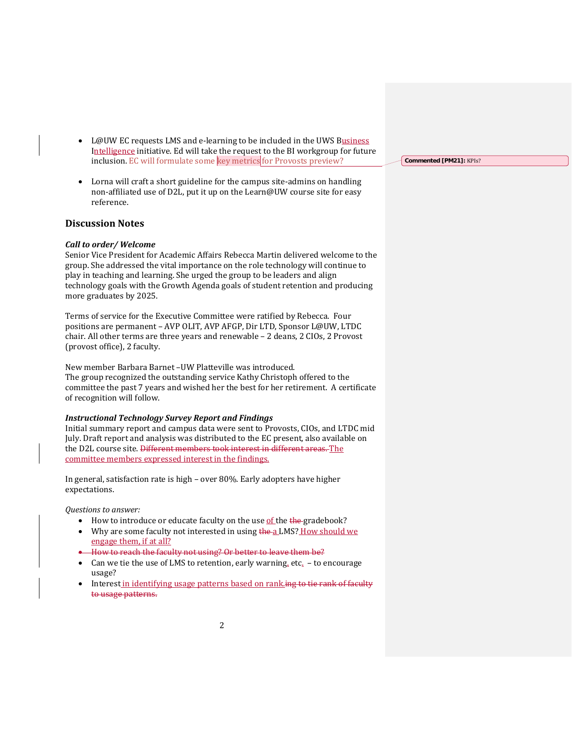- L@UW EC requests LMS and e-learning to be included in the UWS Business Intelligence initiative. Ed will take the request to the BI workgroup for future inclusion. EC will formulate some key metrics for Provosts preview?
- Lorna will craft a short guideline for the campus site-admins on handling non-affiliated use of D2L, put it up on the Learn@UW course site for easy reference.

## **Discussion Notes**

### *Call to order/ Welcome*

Senior Vice President for Academic Affairs Rebecca Martin delivered welcome to the group. She addressed the vital importance on the role technology will continue to play in teaching and learning. She urged the group to be leaders and align technology goals with the Growth Agenda goals of student retention and producing more graduates by 2025.

Terms of service for the Executive Committee were ratified by Rebecca. Four positions are permanent – AVP OLIT, AVP AFGP, Dir LTD, Sponsor L@UW, LTDC chair. All other terms are three years and renewable – 2 deans, 2 CIOs, 2 Provost (provost office), 2 faculty.

New member Barbara Barnet –UW Platteville was introduced. The group recognized the outstanding service Kathy Christoph offered to the committee the past 7 years and wished her the best for her retirement. A certificate of recognition will follow.

### *Instructional Technology Survey Report and Findings*

Initial summary report and campus data were sent to Provosts, CIOs, and LTDC mid July. Draft report and analysis was distributed to the EC present, also available on the D2L course site. Different members took interest in different areas. The committee members expressed interest in the findings.

In general, satisfaction rate is high – over 80%. Early adopters have higher expectations.

*Questions to answer:*

- How to introduce or educate faculty on the use of the the gradebook?
- Why are some faculty not interested in using the a LMS? How should we engage them, if at all?
- How to reach the faculty not using? Or better to leave them be?
- Can we tie the use of LMS to retention, early warning, etc.  $-$  to encourage usage?
- Interest in identifying usage patterns based on rank. ing to tie rank of faculty to usage patterns.

**Commented [PM21]:** KPIs?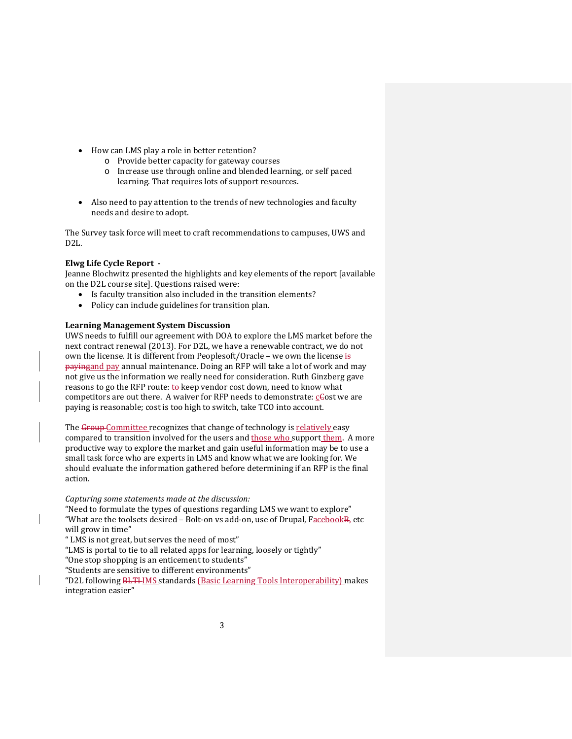- How can LMS play a role in better retention?
	- o Provide better capacity for gateway courses
	- o Increase use through online and blended learning, or self paced learning. That requires lots of support resources.
- Also need to pay attention to the trends of new technologies and faculty needs and desire to adopt.

The Survey task force will meet to craft recommendations to campuses, UWS and D2L.

## **Elwg Life Cycle Report -**

Jeanne Blochwitz presented the highlights and key elements of the report [available on the D2L course site]. Questions raised were:

- Is faculty transition also included in the transition elements?
- Policy can include guidelines for transition plan.

## **Learning Management System Discussion**

UWS needs to fulfill our agreement with DOA to explore the LMS market before the next contract renewal (2013). For D2L, we have a renewable contract, we do not own the license. It is different from Peoplesoft/Oracle – we own the license is payingand pay annual maintenance. Doing an RFP will take a lot of work and may not give us the information we really need for consideration. Ruth Ginzberg gave reasons to go the RFP route: to keep vendor cost down, need to know what competitors are out there. A waiver for RFP needs to demonstrate:  $c\epsilon$  ost we are paying is reasonable; cost is too high to switch, take TCO into account.

The Group Committee recognizes that change of technology is relatively easy compared to transition involved for the users and those who support them. A more productive way to explore the market and gain useful information may be to use a small task force who are experts in LMS and know what we are looking for. We should evaluate the information gathered before determining if an RFP is the final action.

*Capturing some statements made at the discussion:*

"Need to formulate the types of questions regarding LMS we want to explore" "What are the toolsets desired - Bolt-on vs add-on, use of Drupal, Facebook B, etc will grow in time"

" LMS is not great, but serves the need of most"

"LMS is portal to tie to all related apps for learning, loosely or tightly"

"One stop shopping is an enticement to students"

"Students are sensitive to different environments"

"D2L following BLTI-IMS standards (Basic Learning Tools Interoperability) makes integration easier"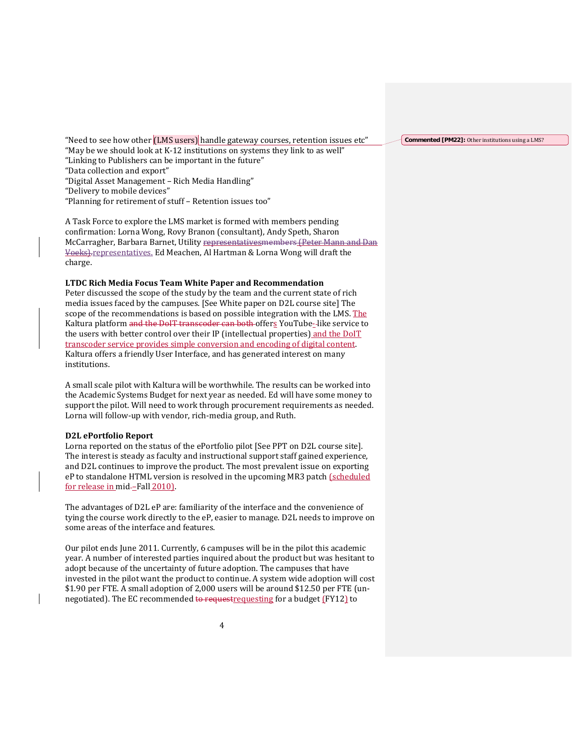"Need to see how other (LMS users) handle gateway courses, retention issues etc" "May be we should look at K-12 institutions on systems they link to as well" "Linking to Publishers can be important in the future" "Data collection and export"

"Digital Asset Management – Rich Media Handling"

"Delivery to mobile devices"

"Planning for retirement of stuff – Retention issues too"

A Task Force to explore the LMS market is formed with members pending confirmation: Lorna Wong, Rovy Branon (consultant), Andy Speth, Sharon McCarragher, Barbara Barnet, Utility representativesmembers (Peter Mann and Dan Voeks).representatives. Ed Meachen, Al Hartman & Lorna Wong will draft the charge.

## **LTDC Rich Media Focus Team White Paper and Recommendation**

Peter discussed the scope of the study by the team and the current state of rich media issues faced by the campuses. [See White paper on D2L course site] The scope of the recommendations is based on possible integration with the LMS. The Kaltura platform and the DoIT transcoder can both offers YouTube-like service to the users with better control over their IP (intellectual properties) and the DoIT transcoder service provides simple conversion and encoding of digital content. Kaltura offers a friendly User Interface, and has generated interest on many institutions.

A small scale pilot with Kaltura will be worthwhile. The results can be worked into the Academic Systems Budget for next year as needed. Ed will have some money to support the pilot. Will need to work through procurement requirements as needed. Lorna will follow-up with vendor, rich-media group, and Ruth.

#### **D2L ePortfolio Report**

Lorna reported on the status of the ePortfolio pilot [See PPT on D2L course site]. The interest is steady as faculty and instructional support staff gained experience, and D2L continues to improve the product. The most prevalent issue on exporting eP to standalone HTML version is resolved in the upcoming MR3 patch (scheduled for release in mid-Fall 2010).

The advantages of D2L eP are: familiarity of the interface and the convenience of tying the course work directly to the eP, easier to manage. D2L needs to improve on some areas of the interface and features.

Our pilot ends June 2011. Currently, 6 campuses will be in the pilot this academic year. A number of interested parties inquired about the product but was hesitant to adopt because of the uncertainty of future adoption. The campuses that have invested in the pilot want the product to continue. A system wide adoption will cost \$1.90 per FTE. A small adoption of 2,000 users will be around \$12.50 per FTE (unnegotiated). The EC recommended to request requesting for a budget (FY12) to

**Commented [PM22]:** Other institutions using a LMS?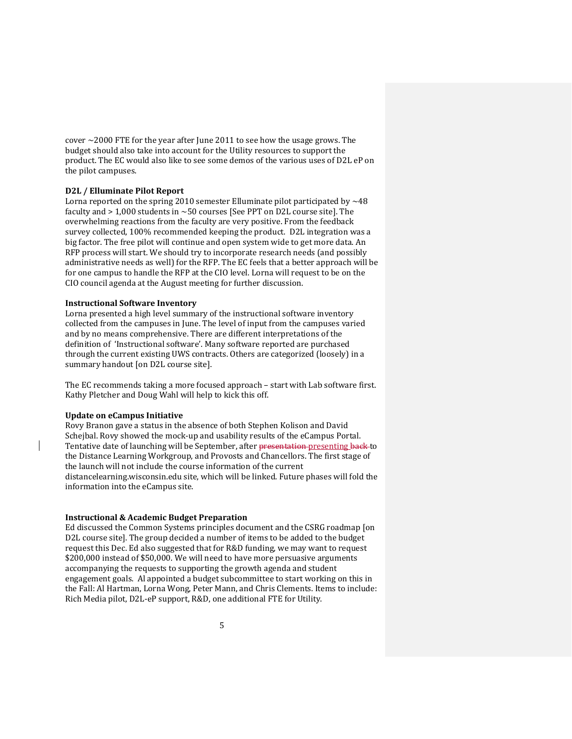cover  $\sim$  2000 FTE for the year after June 2011 to see how the usage grows. The budget should also take into account for the Utility resources to support the product. The EC would also like to see some demos of the various uses of D2L eP on the pilot campuses.

## **D2L / Elluminate Pilot Report**

Lorna reported on the spring 2010 semester Elluminate pilot participated by  $\sim$  48 faculty and  $> 1,000$  students in  $\sim 50$  courses [See PPT on D2L course site]. The overwhelming reactions from the faculty are very positive. From the feedback survey collected, 100% recommended keeping the product. D2L integration was a big factor. The free pilot will continue and open system wide to get more data. An RFP process will start. We should try to incorporate research needs (and possibly administrative needs as well) for the RFP. The EC feels that a better approach will be for one campus to handle the RFP at the CIO level. Lorna will request to be on the CIO council agenda at the August meeting for further discussion.

# **Instructional Software Inventory**

Lorna presented a high level summary of the instructional software inventory collected from the campuses in June. The level of input from the campuses varied and by no means comprehensive. There are different interpretations of the definition of 'Instructional software'. Many software reported are purchased through the current existing UWS contracts. Others are categorized (loosely) in a summary handout [on D2L course site].

The EC recommends taking a more focused approach – start with Lab software first. Kathy Pletcher and Doug Wahl will help to kick this off.

# **Update on eCampus Initiative**

Rovy Branon gave a status in the absence of both Stephen Kolison and David Schejbal. Rovy showed the mock-up and usability results of the eCampus Portal. Tentative date of launching will be September, after presentation presenting back to the Distance Learning Workgroup, and Provosts and Chancellors. The first stage of the launch will not include the course information of the current distancelearning.wisconsin.edu site, which will be linked. Future phases will fold the information into the eCampus site.

# **Instructional & Academic Budget Preparation**

Ed discussed the Common Systems principles document and the CSRG roadmap [on D2L course site]. The group decided a number of items to be added to the budget request this Dec. Ed also suggested that for R&D funding, we may want to request \$200,000 instead of \$50,000. We will need to have more persuasive arguments accompanying the requests to supporting the growth agenda and student engagement goals. Al appointed a budget subcommittee to start working on this in the Fall: Al Hartman, Lorna Wong, Peter Mann, and Chris Clements. Items to include: Rich Media pilot, D2L-eP support, R&D, one additional FTE for Utility.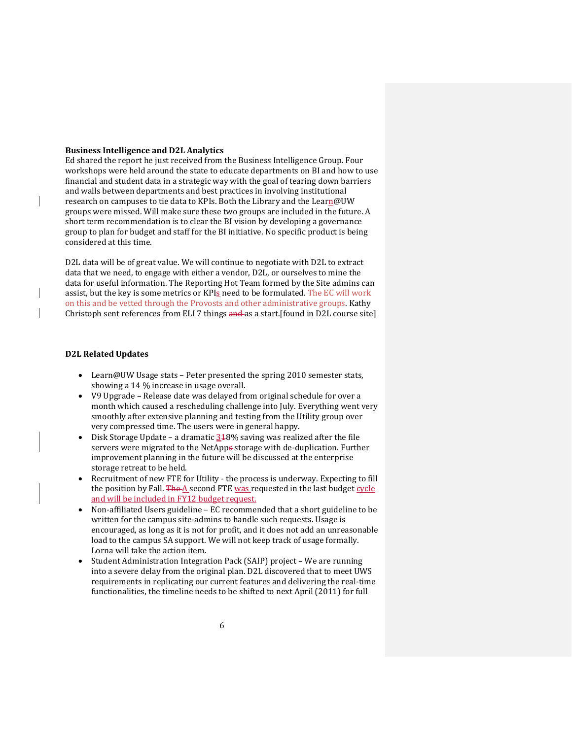### **Business Intelligence and D2L Analytics**

Ed shared the report he just received from the Business Intelligence Group. Four workshops were held around the state to educate departments on BI and how to use financial and student data in a strategic way with the goal of tearing down barriers and walls between departments and best practices in involving institutional research on campuses to tie data to KPIs. Both the Library and the Learn@UW groups were missed. Will make sure these two groups are included in the future. A short term recommendation is to clear the BI vision by developing a governance group to plan for budget and staff for the BI initiative. No specific product is being considered at this time.

D2L data will be of great value. We will continue to negotiate with D2L to extract data that we need, to engage with either a vendor, D2L, or ourselves to mine the data for useful information. The Reporting Hot Team formed by the Site admins can assist, but the key is some metrics or KPIs need to be formulated. The EC will work on this and be vetted through the Provosts and other administrative groups. Kathy Christoph sent references from ELI 7 things and as a start.[found in D2L course site]

### **D2L Related Updates**

- Learn@UW Usage stats Peter presented the spring 2010 semester stats, showing a 14 % increase in usage overall.
- V9 Upgrade Release date was delayed from original schedule for over a month which caused a rescheduling challenge into July. Everything went very smoothly after extensive planning and testing from the Utility group over very compressed time. The users were in general happy.
- Disk Storage Update a dramatic  $348\%$  saving was realized after the file servers were migrated to the NetApps storage with de-duplication. Further improvement planning in the future will be discussed at the enterprise storage retreat to be held.
- Recruitment of new FTE for Utility the process is underway. Expecting to fill the position by Fall. The  $A$  second FTE was requested in the last budget cycle and will be included in FY12 budget request.
- Non-affiliated Users guideline EC recommended that a short guideline to be written for the campus site-admins to handle such requests. Usage is encouraged, as long as it is not for profit, and it does not add an unreasonable load to the campus SA support. We will not keep track of usage formally. Lorna will take the action item.
- Student Administration Integration Pack (SAIP) project We are running into a severe delay from the original plan. D2L discovered that to meet UWS requirements in replicating our current features and delivering the real-time functionalities, the timeline needs to be shifted to next April (2011) for full